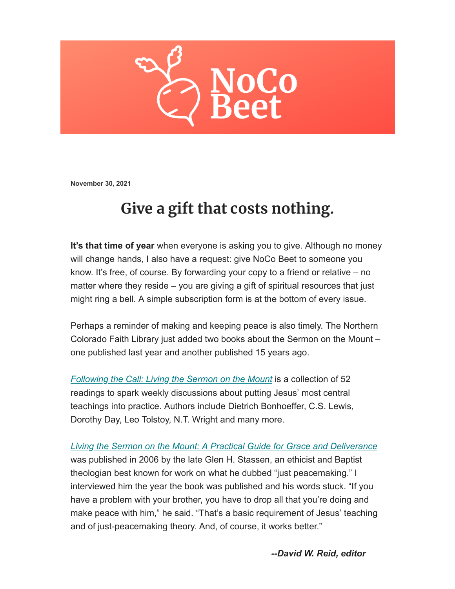

**November 30, 2021**

## **Give a gift that costs nothing.**

**It's that time of year** when everyone is asking you to give. Although no money will change hands, I also have a request: give NoCo Beet to someone you know. It's free, of course. By forwarding your copy to a friend or relative – no matter where they reside – you are giving a gift of spiritual resources that just might ring a bell. A simple subscription form is at the bottom of every issue.

Perhaps a reminder of making and keeping peace is also timely. The Northern Colorado Faith Library just added two books about the Sermon on the Mount – one published last year and another published 15 years ago.

*[Following the Call: Living the Sermon on the Mount](https://fcf.scoolaid.net/bin/search/recDetailPage?sf0=4&kw0=Following+The+Call&sortAttr=31&sortOrder=1&zid=0&zidDb=on&incRating=1&pNum=1&rid=&recRsPos=0)* is a collection of 52 readings to spark weekly discussions about putting Jesus' most central teachings into practice. Authors include Dietrich Bonhoeffer, C.S. Lewis, Dorothy Day, Leo Tolstoy, N.T. Wright and many more.

*[Living the Sermon on the Mount: A Practical Guide for Grace and Deliverance](https://fcf.scoolaid.net/bin/search/recDetailPage?sf0=4&kw0=Living+the+Sermon+on+the+Mount&sortAttr=31&sortOrder=1&zid=0&zidDb=on&incRating=1&pNum=1&rid=&recRsPos=1)* was published in 2006 by the late Glen H. Stassen, an ethicist and Baptist theologian best known for work on what he dubbed "just peacemaking." I interviewed him the year the book was published and his words stuck. "If you have a problem with your brother, you have to drop all that you're doing and make peace with him," he said. "That's a basic requirement of Jesus' teaching and of just-peacemaking theory. And, of course, it works better."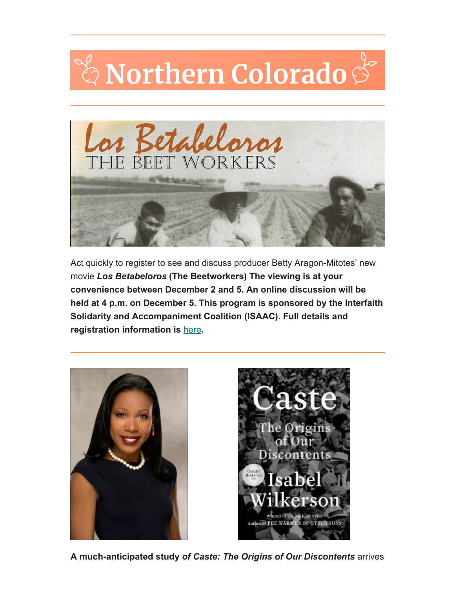## ී Northern Colorado Š



Act quickly to register to see and discuss producer Betty Aragon-Mitotes' new movie *Los Betabeloros* **(The Beetworkers) The viewing is at your convenience between December 2 and 5. An online discussion will be held at 4 p.m. on December 5. This program is sponsored by the Interfaith Solidarity and Accompaniment Coalition (ISAAC). Full details and registration information is** [here](https://isaacnoco.org/)**.**





**A much-anticipated study** *of Caste: The Origins of Our Discontents* arrives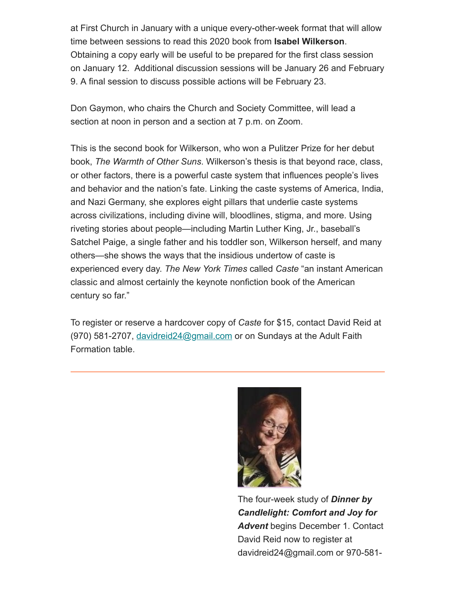at First Church in January with a unique every-other-week format that will allow time between sessions to read this 2020 book from **Isabel Wilkerson**. Obtaining a copy early will be useful to be prepared for the first class session on January 12. Additional discussion sessions will be January 26 and February 9. A final session to discuss possible actions will be February 23.

Don Gaymon, who chairs the Church and Society Committee, will lead a section at noon in person and a section at 7 p.m. on Zoom.

This is the second book for Wilkerson, who won a Pulitzer Prize for her debut book, *The Warmth of Other Suns*. Wilkerson's thesis is that beyond race, class, or other factors, there is a powerful caste system that influences people's lives and behavior and the nation's fate. Linking the caste systems of America, India, and Nazi Germany, she explores eight pillars that underlie caste systems across civilizations, including divine will, bloodlines, stigma, and more. Using riveting stories about people—including Martin Luther King, Jr., baseball's Satchel Paige, a single father and his toddler son, Wilkerson herself, and many others—she shows the ways that the insidious undertow of caste is experienced every day. *The New York Times* called *Caste* "an instant American classic and almost certainly the keynote nonfiction book of the American century so far."

To register or reserve a hardcover copy of *Caste* for \$15, contact David Reid at  $(970)$  581-2707, davidreid 24@gmail.com or on Sundays at the Adult Faith Formation table.



The four-week study of *Dinner by Candlelight: Comfort and Joy for Advent* begins December 1. Contact David Reid now to register at davidreid24@gmail.com or 970-581-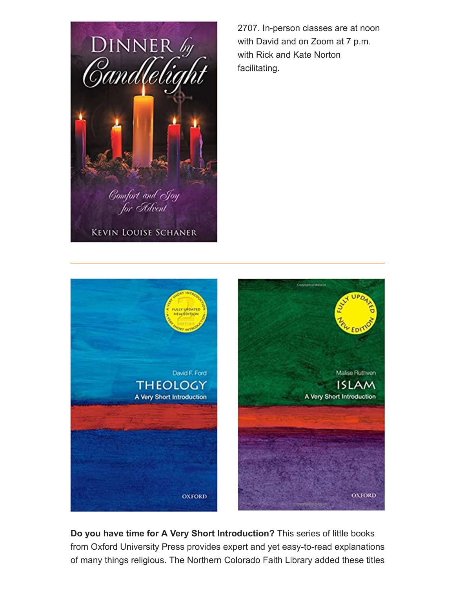

2707. In-person classes are at noon with David and on Zoom at 7 p.m. with Rick and Kate Norton facilitating.



**Do you have time for A Very Short Introduction?** This series of little books from Oxford University Press provides expert and yet easy-to-read explanations of many things religious. The Northern Colorado Faith Library added these titles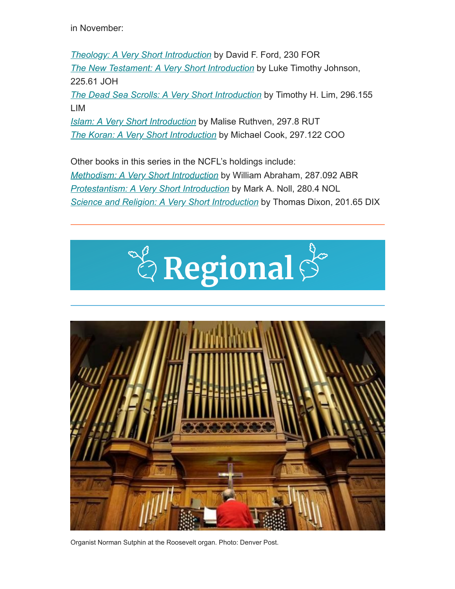in November:

*[Theology: A Very Short Introduction](https://fcf.scoolaid.net/bin/search/recDetailPage?sf0=4&kw0=theology%3A+a+very+short+&sortAttr=31&sortOrder=1&incRating=1&pNum=1&rid=&recRsPos=0)* by David F. Ford, 230 FOR *[The New Testament: A Very Short Introduction](https://fcf.scoolaid.net/bin/search/recDetailPage?sf0=4&kw0=The+New+Testament%3A+A+very+short+&sortAttr=31&sortOrder=1&incRating=1&pNum=1&rid=&recRsPos=0)* by Luke Timothy Johnson, 225.61 JOH

*[The Dead Sea Scrolls: A Very Short Introduction](https://fcf.scoolaid.net/bin/search/recDetailPage?sf0=4&kw0=The+Dead+Sea+Scrolls%3A+A+Very+short&sortAttr=31&sortOrder=1&incRating=1&pNum=1&rid=&recRsPos=0)* by Timothy H. Lim, 296.155 LIM

*[Islam: A Very Short Introduction](https://fcf.scoolaid.net/bin/search/recDetailPage?sf0=4&kw0=Islam%3A+A+Very+short&sortAttr=31&sortOrder=1&zid=0&zidDb=on&incRating=1&pNum=1&rid=&recRsPos=0)* by Malise Ruthven, 297.8 RUT *[The Koran: A Very Short Introduction](https://fcf.scoolaid.net/bin/search/recDetailPage?sf0=4&kw0=%22a+very+short+introduction&sortAttr=31&sortOrder=1&zid=0&zidDb=on&incRating=1&pNum=1&rid=&recRsPos=7)* by Michael Cook, 297.122 COO

Other books in this series in the NCFL's holdings include: *[Methodism: A Very Short Introduction](https://fcf.scoolaid.net/bin/search/recDetailPage?sf0=4&kw0=%22a+very+short+introduction&sortAttr=31&sortOrder=1&zid=0&zidDb=on&incRating=1&pNum=1&rid=&recRsPos=0)* by William Abraham, 287.092 ABR *[Protestantism: A Very Short Introduction](https://fcf.scoolaid.net/bin/search/recDetailPage?sf0=4&kw0=%22a+very+short+introduction&sortAttr=31&sortOrder=1&zid=0&zidDb=on&incRating=1&pNum=1&rid=&recRsPos=4)* by Mark A. Noll, 280.4 NOL *[Science and Religion: A Very Short Introduction](https://fcf.scoolaid.net/bin/search/recDetailPage?sf0=4&kw0=%22a+very+short+introduction&sortAttr=31&sortOrder=1&zid=0&zidDb=on&incRating=1&pNum=1&rid=&recRsPos=6)* by Thomas Dixon, 201.65 DIX





Organist Norman Sutphin at the Roosevelt organ. Photo: Denver Post.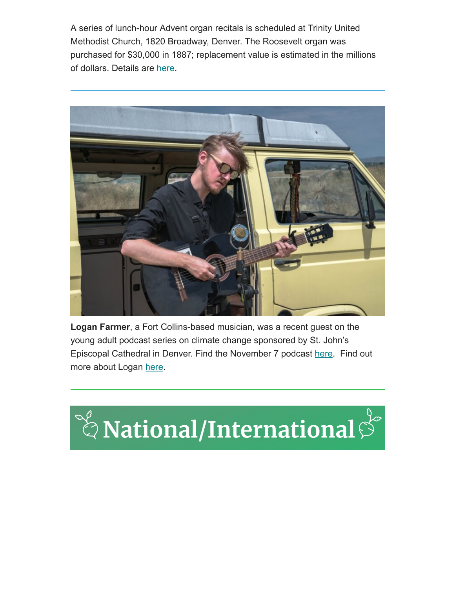A series of lunch-hour Advent organ recitals is scheduled at Trinity United Methodist Church, 1820 Broadway, Denver. The Roosevelt organ was purchased for \$30,000 in 1887; replacement value is estimated in the millions of dollars. Details are [here](https://www.trinityumc.org/events/advent-organ-recitals/).



**Logan Farmer**, a Fort Collins-based musician, was a recent guest on the young adult podcast series on climate change sponsored by St. John's Episcopal Cathedral in Denver. Find the November 7 podcast [here.](https://sjcathedral.org/mile-high-theology/) Find out more about Logan [here.](https://www.loganfarmer.com/)

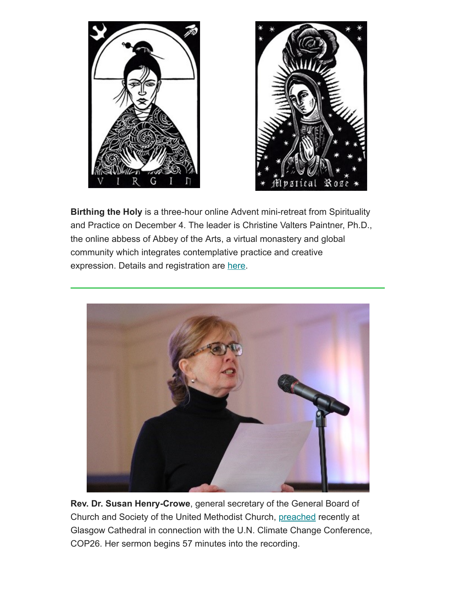



**Birthing the Holy** is a three-hour online Advent mini-retreat from Spirituality and Practice on December 4. The leader is Christine Valters Paintner, Ph.D., the online abbess of Abbey of the Arts, a virtual monastery and global community which integrates contemplative practice and creative expression. Details and registration are [here.](https://www.spiritualityandpractice.com/ecourses/course/view/10295/birthing-the-holy)



**Rev. Dr. Susan Henry-Crowe**, general secretary of the General Board of Church and Society of the United Methodist Church, [preached](https://www.glasgowcathedral.org/streaming/a-service-for-the-conference-of-parties-26/) recently at Glasgow Cathedral in connection with the U.N. Climate Change Conference, COP26. Her sermon begins 57 minutes into the recording.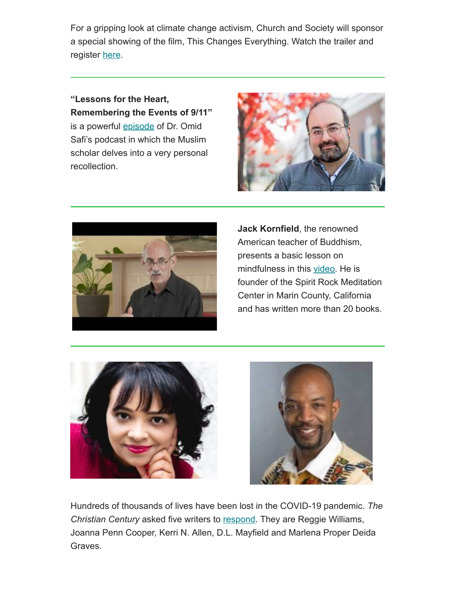For a gripping look at climate change activism, Church and Society will sponsor a special showing of the film, This Changes Everything. Watch the trailer and register [here](https://www.umcjustice.org/articles/preview/a036ce8e-bb1a-456c-866f-058f006efdfd?emci=f356cb9e-7e46-ec11-9820-c896653b26c8&emdi=b40b7f9d-c347-ec11-9820-c896653b26c8&ceid=5921539).

**"Lessons for the Heart, Remembering the Events of 9/11"** is a powerful [episode](https://beherenownetwork.com/omid-safi-sufi-heart-ep-23-lessons-for-the-heart-remembering-the-events-of-9-11/) of Dr. Omid Safi's podcast in which the Muslim scholar delves into a very personal recollection.





**Jack Kornfield**, the renowned American teacher of Buddhism, presents a basic lesson on mindfulness in this [video.](https://www.youtube.com/channel/UC5JayBKk-Bynk6XnUnU7vLA) He is founder of the Spirit Rock Meditation Center in Marin County, California and has written more than 20 books.





Hundreds of thousands of lives have been lost in the COVID-19 pandemic. *The Christian Century* asked five writers to [respond.](https://www.christiancentury.org/article/reflection/how-do-we-grieve-hundreds-thousands-people-covid-19-pandemic-has-killed?fbclid=IwAR2q5mUac_PJ8IfdEr1jOpudB83qbdwoxpnfTwpnsYfwFvUMhyIV9PlDQV4) They are Reggie Williams, Joanna Penn Cooper, Kerri N. Allen, D.L. Mayfield and Marlena Proper Deida Graves.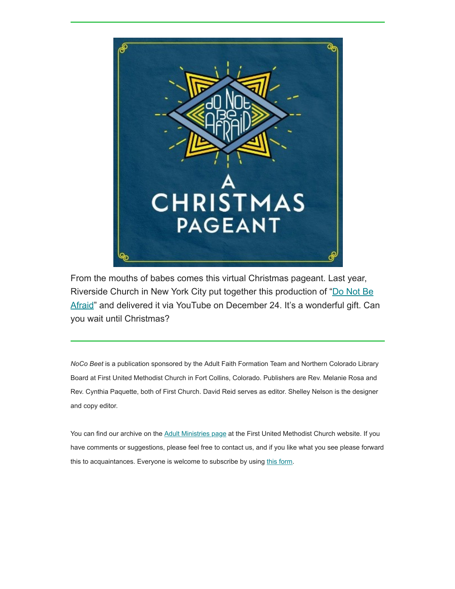

From the mouths of babes comes this virtual Christmas pageant. Last year, Riverside Church in New York City put together this production of "Do Not Be [Afraid" and delivered it via YouTube on December 24. It's a wonderful gift. Ca](https://youtu.be/rm1wBaa0QEU)n you wait until Christmas?

*NoCo Beet* is a publication sponsored by the Adult Faith Formation Team and Northern Colorado Library Board at First United Methodist Church in Fort Collins, Colorado. Publishers are Rev. Melanie Rosa and Rev. Cynthia Paquette, both of First Church. David Reid serves as editor. Shelley Nelson is the designer and copy editor.

You can find our archive on the [Adult Ministries page](https://fcfumc.net/ministry/adults) at the First United Methodist Church website. If you have comments or suggestions, please feel free to contact us, and if you like what you see please forward this to acquaintances. Everyone is welcome to subscribe by using [this form.](https://fcfumc.us6.list-manage.com/subscribe?u=62b328003f77e406a68fd17d4&id=75d7d93d6c)